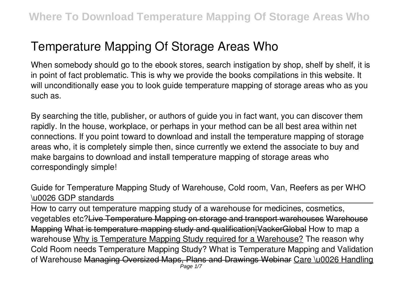# **Temperature Mapping Of Storage Areas Who**

When somebody should go to the ebook stores, search instigation by shop, shelf by shelf, it is in point of fact problematic. This is why we provide the books compilations in this website. It will unconditionally ease you to look guide **temperature mapping of storage areas who** as you such as.

By searching the title, publisher, or authors of guide you in fact want, you can discover them rapidly. In the house, workplace, or perhaps in your method can be all best area within net connections. If you point toward to download and install the temperature mapping of storage areas who, it is completely simple then, since currently we extend the associate to buy and make bargains to download and install temperature mapping of storage areas who correspondingly simple!

*Guide for Temperature Mapping Study of Warehouse, Cold room, Van, Reefers as per WHO \u0026 GDP standards*

How to carry out temperature mapping study of a warehouse for medicines, cosmetics, vegetables etc?Live Temperature Mapping on storage and transport warehouses Warehouse Mapping What is temperature mapping study and qualification|VackerGlobal **How to map a warehouse** Why is Temperature Mapping Study required for a Warehouse? The reason why Cold Room needs Temperature Mapping Study? What is Temperature Mapping and Validation of Warehouse Managing Oversized Maps, Plans and Drawings Webinar Care \u0026 Handling Page 1/7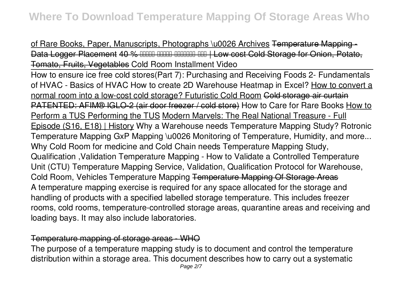of Rare Books, Paper, Manuscripts, Photographs \u0026 Archives Temperature Mapping Data Logger Placement 40 % HHH HHHH HHHHH HH I Low cost Cold Storage for Onio Tomato, Fruits, Vegetables **Cold Room Installment Video**

How to ensure ice free cold stores*(Part 7): Purchasing and Receiving Foods 2- Fundamentals of HVAC - Basics of HVAC How to create 2D Warehouse Heatmap in Excel?* How to convert a normal room into a low-cost cold storage? Futuristic Cold Room Cold storage air curtain PATENTED: AFIM® IGLO-2 (air door freezer / cold store) *How to Care for Rare Books* How to Perform a TUS Performing the TUS Modern Marvels: The Real National Treasure - Full Episode (S16, E18) | History *Why a Warehouse needs Temperature Mapping Study? Rotronic Temperature Mapping GxP Mapping \u0026 Monitoring of Temperature, Humidity, and more...* Why Cold Room for medicine and Cold Chain needs Temperature Mapping Study, Qualification ,Validation Temperature Mapping - How to Validate a Controlled Temperature Unit (CTU) *Temperature Mapping Service, Validation, Qualification Protocol for Warehouse, Cold Room, Vehicles* Temperature Mapping Temperature Mapping Of Storage Areas A temperature mapping exercise is required for any space allocated for the storage and handling of products with a specified labelled storage temperature. This includes freezer rooms, cold rooms, temperature-controlled storage areas, quarantine areas and receiving and loading bays. It may also include laboratories.

# Temperature mapping of storage areas - WHO

The purpose of a temperature mapping study is to document and control the temperature distribution within a storage area. This document describes how to carry out a systematic Page 2/7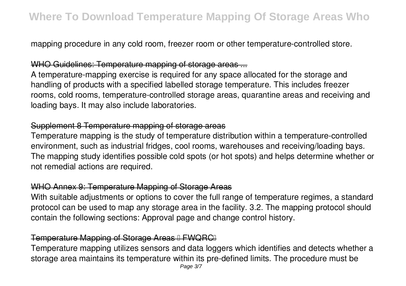mapping procedure in any cold room, freezer room or other temperature-controlled store.

# WHO Guidelines: Temperature mapping of storage areas ...

A temperature-mapping exercise is required for any space allocated for the storage and handling of products with a specified labelled storage temperature. This includes freezer rooms, cold rooms, temperature-controlled storage areas, quarantine areas and receiving and loading bays. It may also include laboratories.

#### Supplement 8 Temperature mapping of storage areas

Temperature mapping is the study of temperature distribution within a temperature-controlled environment, such as industrial fridges, cool rooms, warehouses and receiving/loading bays. The mapping study identifies possible cold spots (or hot spots) and helps determine whether or not remedial actions are required.

# WHO Annex 9: Temperature Mapping of Storage Areas

With suitable adjustments or options to cover the full range of temperature regimes, a standard protocol can be used to map any storage area in the facility. 3.2. The mapping protocol should contain the following sections: Approval page and change control history.

# Temperature Mapping of Storage Areas I FWQRCI

Temperature mapping utilizes sensors and data loggers which identifies and detects whether a storage area maintains its temperature within its pre-defined limits. The procedure must be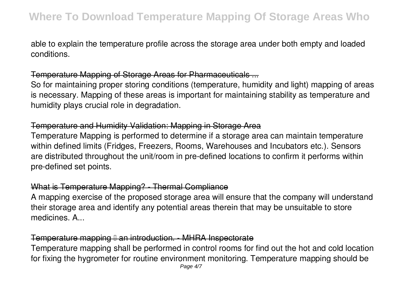able to explain the temperature profile across the storage area under both empty and loaded conditions.

# Temperature Mapping of Storage Areas for Pharmaceuticals ...

So for maintaining proper storing conditions (temperature, humidity and light) mapping of areas is necessary. Mapping of these areas is important for maintaining stability as temperature and humidity plays crucial role in degradation.

#### Temperature and Humidity Validation: Mapping in Storage Area

Temperature Mapping is performed to determine if a storage area can maintain temperature within defined limits (Fridges, Freezers, Rooms, Warehouses and Incubators etc.). Sensors are distributed throughout the unit/room in pre-defined locations to confirm it performs within pre-defined set points.

## What is Temperature Mapping? - Thermal Compliance

A mapping exercise of the proposed storage area will ensure that the company will understand their storage area and identify any potential areas therein that may be unsuitable to store medicines. A...

# Temperature mapping I an introduction. - MHRA Inspectorate

Temperature mapping shall be performed in control rooms for find out the hot and cold location for fixing the hygrometer for routine environment monitoring. Temperature mapping should be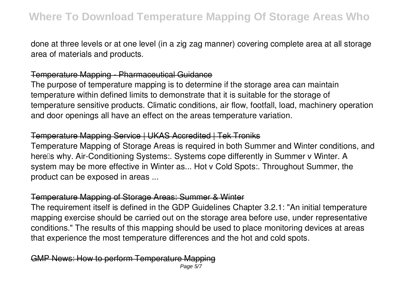done at three levels or at one level (in a zig zag manner) covering complete area at all storage area of materials and products.

#### Temperature Mapping - Pharmaceutical Guidance

The purpose of temperature mapping is to determine if the storage area can maintain temperature within defined limits to demonstrate that it is suitable for the storage of temperature sensitive products. Climatic conditions, air flow, footfall, load, machinery operation and door openings all have an effect on the areas temperature variation.

#### Temperature Mapping Service | UKAS Accredited | Tek Troniks

Temperature Mapping of Storage Areas is required in both Summer and Winter conditions, and herells why. Air-Conditioning Systems:. Systems cope differently in Summer v Winter. A system may be more effective in Winter as... Hot v Cold Spots:. Throughout Summer, the product can be exposed in areas ...

#### Temperature Mapping of Storage Areas: Summer & Winter

The requirement itself is defined in the GDP Guidelines Chapter 3.2.1: "An initial temperature mapping exercise should be carried out on the storage area before use, under representative conditions." The results of this mapping should be used to place monitoring devices at areas that experience the most temperature differences and the hot and cold spots.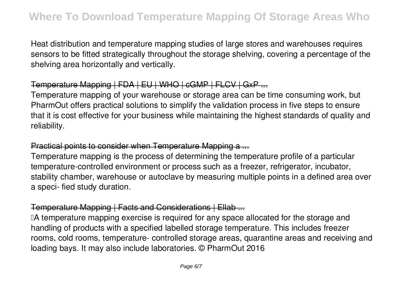Heat distribution and temperature mapping studies of large stores and warehouses requires sensors to be fitted strategically throughout the storage shelving, covering a percentage of the shelving area horizontally and vertically.

# Temperature Mapping | FDA | EU | WHO | cGMP | FLCV | GxP ...

Temperature mapping of your warehouse or storage area can be time consuming work, but PharmOut offers practical solutions to simplify the validation process in five steps to ensure that it is cost effective for your business while maintaining the highest standards of quality and reliability.

# Practical points to consider when Temperature Mapping a ...

Temperature mapping is the process of determining the temperature profile of a particular temperature-controlled environment or process such as a freezer, refrigerator, incubator, stability chamber, warehouse or autoclave by measuring multiple points in a defined area over a speci- fied study duration.

#### Temperature Mapping | Facts and Considerations | Ellab ...

IA temperature mapping exercise is required for any space allocated for the storage and handling of products with a specified labelled storage temperature. This includes freezer rooms, cold rooms, temperature- controlled storage areas, quarantine areas and receiving and loading bays. It may also include laboratories. © PharmOut 2016